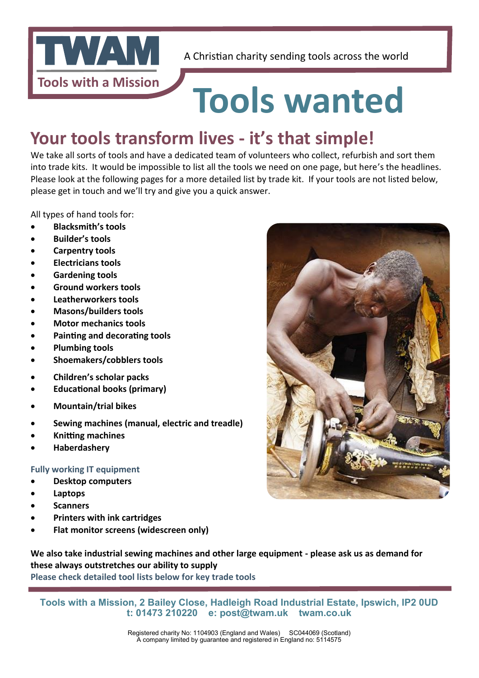

## **Tools wanted**

### **Your tools transform lives - it's that simple!**

We take all sorts of tools and have a dedicated team of volunteers who collect, refurbish and sort them into trade kits. It would be impossible to list all the tools we need on one page, but here's the headlines. Please look at the following pages for a more detailed list by trade kit. If your tools are not listed below, please get in touch and we'll try and give you a quick answer.

All types of hand tools for:

- x **Blacksmith's tools**
- x **Builder's tools**
- x **Carpentry tools**
- x **Electricians tools**
- x **Gardening tools**
- x **Ground workers tools**
- Leatherworkers tools
- x **Masons/builders tools**
- **Motor mechanics tools**
- **Painting and decorating tools**
- **Plumbing tools**
- x **Shoemakers/cobblers tools**
- x **Children's scholar packs**
- **Educational books (primary)**
- x **Mountain/trial bikes**
- Sewing machines (manual, electric and treadle)
- **Knitting machines**
- x **Haberdashery**

#### **Fully working IT equipment**

- x **Desktop computers**
- x **Laptops**
- x **Scanners**
- x **Printers with ink cartridges**
- x **Flat monitor screens (widescreen only)**

**We also take industrial sewing machines and other large equipment - please ask us as demand for these always outstretches our ability to supply**

**Please check detailed tool lists below for key trade tools**

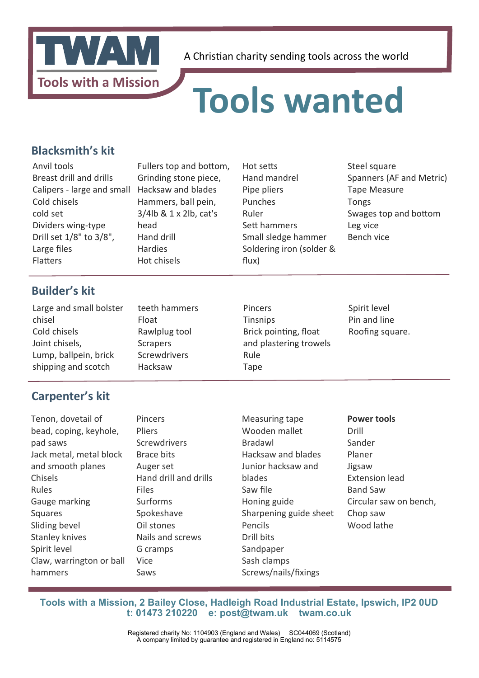

### **Tools wanted**

#### **Blacksmith's kit**

Anvil tools Breast drill and drills Calipers - large and small Cold chisels cold set Dividers wing-type Drill set 1/8" to 3/8", Large fles **Flatters** 

Fullers top and bottom, Grinding stone piece, Hacksaw and blades Hammers, ball pein, 3/4lb & 1 x 2lb, cat's head Hand drill Hardies Hot chisels

teeth hammers

Rawlplug tool Scrapers Screwdrivers Hacksaw

Float

Hot sets Hand mandrel Pipe pliers Punches Ruler Sett hammers Small sledge hammer Soldering iron (solder & flux)

Steel square Spanners (AF and Metric) Tape Measure Tongs Swages top and bottom Leg vice Bench vice

### **Builder's kit**

| Large and small bolster |  |
|-------------------------|--|
| chisel                  |  |
| Cold chisels            |  |
| Joint chisels,          |  |
| Lump, ballpein, brick   |  |
| shipping and scotch     |  |

#### **Carpenter's kit**

Tenon, dovetail of bead, coping, keyhole, pad saws Jack metal, metal block and smooth planes Chisels Rules Gauge marking Squares Sliding bevel Stanley knives Spirit level Claw, warrington or ball hammers

Pincers Pliers **Screwdrivers** Brace bits Auger set Hand drill and drills Files Surforms Spokeshave Oil stones Nails and screws G cramps Vice Saws

Pincers **Tinsnips** Brick pointing, float and plastering trowels Rule Tape

Measuring tape Wooden mallet

Bradawl

blades Saw fle

Pencils Drill bits Sandpaper Sash clamps

Honing guide

Screws/nails/fxings

Spirit level Pin and line Roofing square.

Hacksaw and blades Junior hacksaw and Sharpening guide sheet **Power tools** Drill Sander Planer Jigsaw Extension lead Band Saw Circular saw on bench, Chop saw Wood lathe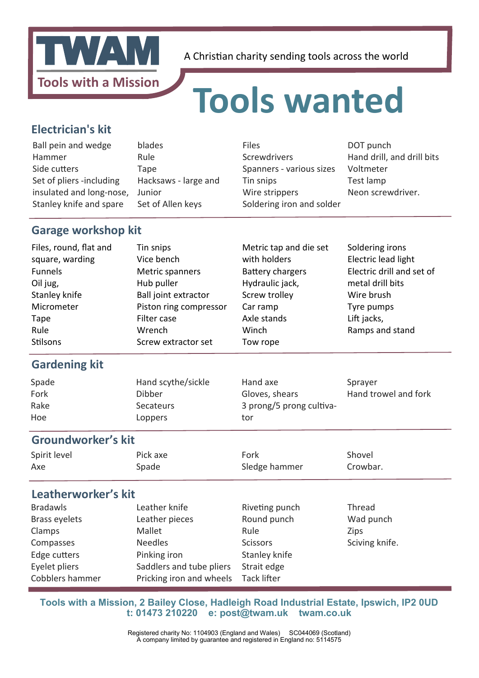

### **Tools wanted**

#### **Electrician's kit**

| Ball pein and wedge      | blades               | <b>Files</b>              | DOT punch                  |
|--------------------------|----------------------|---------------------------|----------------------------|
| Hammer                   | Rule                 | Screwdrivers              | Hand drill, and drill bits |
| Side cutters             | Tape                 | Spanners - various sizes  | Voltmeter                  |
| Set of pliers -including | Hacksaws - large and | Tin snips                 | Test lamp                  |
| insulated and long-nose, | Junior               | Wire strippers            | Neon screwdriver.          |
| Stanley knife and spare  | Set of Allen keys    | Soldering iron and solder |                            |
|                          |                      |                           |                            |

#### **Garage workshop kit**

| Files, round, flat and<br>square, warding | Tin snips<br>Vice bench     | Metric tap and die set<br>with holders | Soldering irons<br>Electric lead light |
|-------------------------------------------|-----------------------------|----------------------------------------|----------------------------------------|
| <b>Funnels</b>                            | Metric spanners             | <b>Battery chargers</b>                | Electric drill and set of              |
| Oil jug,                                  | Hub puller                  | Hydraulic jack,                        | metal drill bits                       |
| Stanley knife                             | <b>Ball joint extractor</b> | Screw trolley                          | Wire brush                             |
| Micrometer                                | Piston ring compressor      | Car ramp                               | Tyre pumps                             |
| Tape                                      | Filter case                 | Axle stands                            | Lift jacks,                            |
| Rule                                      | Wrench                      | Winch                                  | Ramps and stand                        |
| Stilsons                                  | Screw extractor set         | Tow rope                               |                                        |

#### **Gardening kit**

| Hoe                   | <b>Secateurs</b>             | 3 prong/5 prong cultiva-   |                                 |
|-----------------------|------------------------------|----------------------------|---------------------------------|
| Groundworker's kit    | Loppers                      | tor                        |                                 |
| Spade<br>Fork<br>Rake | Hand scythe/sickle<br>Dibber | Hand axe<br>Gloves, shears | Sprayer<br>Hand trowel and fork |

#### Spirit level Axe Pick axe Spade Fork Sledge hammer Shovel Crowbar.

#### **Leatherworker's kit**

| <b>Bradawls</b><br>Brass eyelets | Leather knife<br>Leather pieces | Riveting punch<br>Round punch | Thread<br>Wad punch |
|----------------------------------|---------------------------------|-------------------------------|---------------------|
| Clamps                           | Mallet                          | Rule                          | <b>Zips</b>         |
| Compasses                        | <b>Needles</b>                  | <b>Scissors</b>               | Sciving knife.      |
| Edge cutters                     | Pinking iron                    | Stanley knife                 |                     |
| Eyelet pliers                    | Saddlers and tube pliers        | Strait edge                   |                     |
| Cobblers hammer                  | Pricking iron and wheels        | <b>Tack lifter</b>            |                     |

**Tools with a Mission, 2 Bailey Close, Hadleigh Road Industrial Estate, Ipswich, IP2 0UD t: 01473 210220 e: post@twam.uk twam.co.uk**

> Registered charity No: 1104903 (England and Wales) SC044069 (Scotland) A company limited by guarantee and registered in England no: 5114575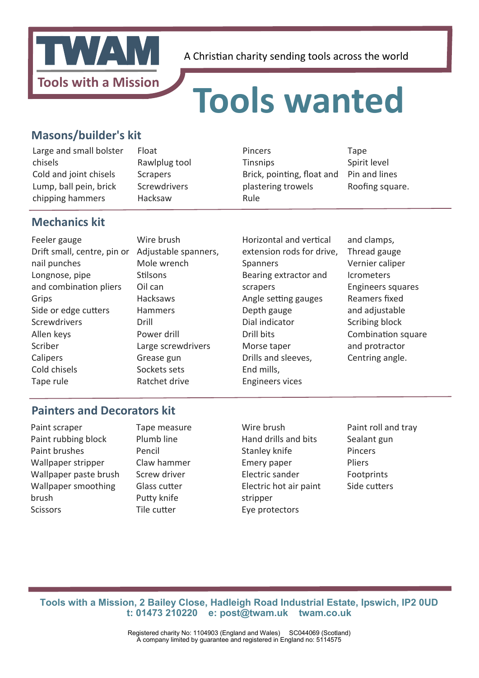

### **Tools wanted**

#### **Masons/builder's kit**

Large and small bolster chisels Cold and joint chisels Lump, ball pein, brick chipping hammers

Float Rawlplug tool **Scrapers** Screwdrivers Hacksaw

Pincers **Tinsnips** Brick, pointing, float and plastering trowels Rule

Tape Spirit level Pin and lines Roofing square.

### **Mechanics kit**

Feeler gauge Drift small, centre, pin or nail punches Longnose, pipe and combination pliers Grips Side or edge cutters Screwdrivers Allen keys Scriber **Calipers** Cold chisels Tape rule

Wire brush Adjustable spanners, Mole wrench **Stilsons** Oil can Hacksaws Hammers Drill Power drill Large screwdrivers Grease gun Sockets sets Ratchet drive

Horizontal and vertical extension rods for drive, Spanners Bearing extractor and scrapers Angle setting gauges Depth gauge Dial indicator Drill bits Morse taper Drills and sleeves, End mills, Engineers vices

and clamps, Thread gauge Vernier caliper Icrometers Engineers squares Reamers fxed and adjustable Scribing block Combination square and protractor Centring angle.

#### **Painters and Decorators kit**

Paint scraper Paint rubbing block Paint brushes Wallpaper stripper Wallpaper paste brush Wallpaper smoothing brush **Scissors** 

Tape measure Plumb line Pencil Claw hammer Screw driver Glass cutter Puty knife **Tile cutter** 

Wire brush Hand drills and bits Stanley knife Emery paper Electric sander Electric hot air paint stripper Eye protectors

Paint roll and tray Sealant gun Pincers Pliers **Footprints** Side cutters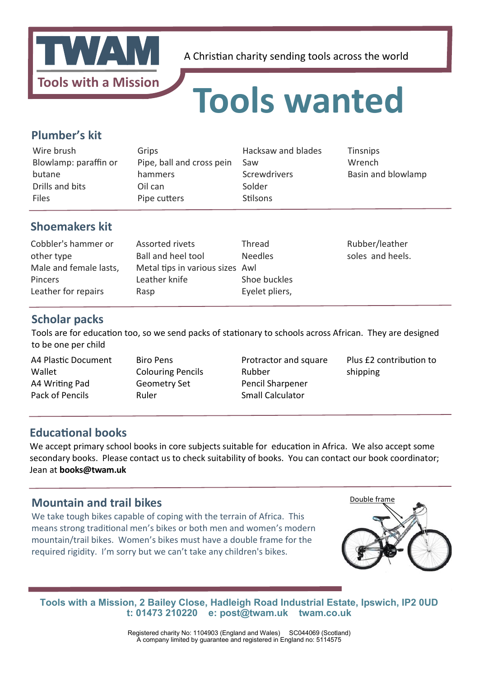

### **Tools wanted**

#### **Plumber's kit**

| Wire brush            | Grips                     | Hacksaw and blades | <b>Tinsnips</b>    |
|-----------------------|---------------------------|--------------------|--------------------|
| Blowlamp: paraffin or | Pipe, ball and cross pein | Saw                | Wrench             |
| butane                | hammers                   | Screwdrivers       | Basin and blowlamp |
| Drills and bits       | Oil can                   | Solder             |                    |
| <b>Files</b>          | Pipe cutters              | Stilsons           |                    |
|                       |                           |                    |                    |

#### **Shoemakers kit**

| Cobbler's hammer or    | Assorted rivets                 | Thread         | Rubber/leather   |
|------------------------|---------------------------------|----------------|------------------|
| other type             | Ball and heel tool              | <b>Needles</b> | soles and heels. |
| Male and female lasts, | Metal tips in various sizes Awl |                |                  |
| <b>Pincers</b>         | Leather knife                   | Shoe buckles   |                  |
| Leather for repairs    | Rasp                            | Eyelet pliers, |                  |

#### **Scholar packs**

Tools are for education too, so we send packs of stationary to schools across African. They are designed to be one per child

A4 Plastic Document Wallet A4 Writng Pad Pack of Pencils

Biro Pens Colouring Pencils Geometry Set Ruler

Protractor and square Rubber Pencil Sharpener Small Calculator

Plus £2 contribution to shipping

#### **Educational books**

We accept primary school books in core subjects suitable for education in Africa. We also accept some secondary books. Please contact us to check suitability of books. You can contact our book coordinator; Jean at **books@twam.uk**

#### **Mountain and trail bikes**

We take tough bikes capable of coping with the terrain of Africa. This means strong traditonal men's bikes or both men and women's modern mountain/trail bikes. Women's bikes must have a double frame for the required rigidity. I'm sorry but we can't take any children's bikes.



**Tools with a Mission, 2 Bailey Close, Hadleigh Road Industrial Estate, Ipswich, IP2 0UD t: 01473 210220 e: post@twam.uk twam.co.uk**

> Registered charity No: 1104903 (England and Wales) SC044069 (Scotland) A company limited by guarantee and registered in England no: 5114575